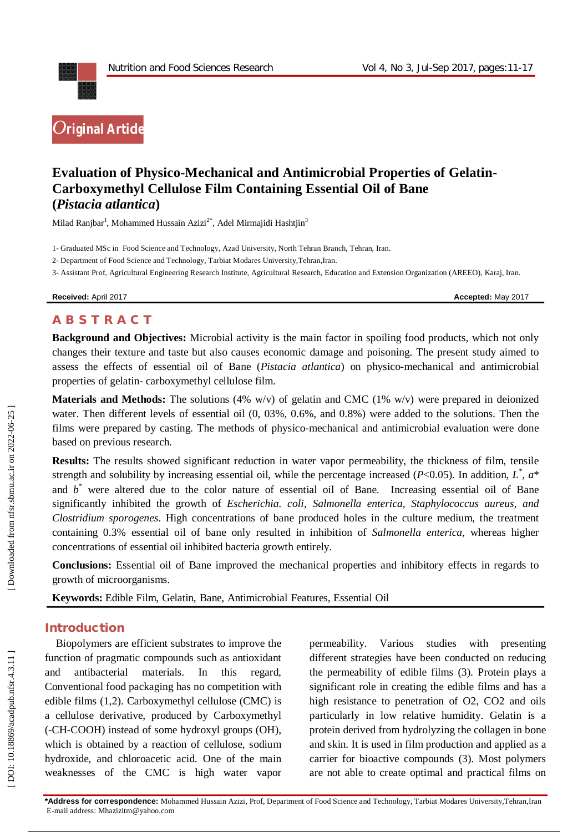

# **Evaluation of Physico -Mechanical and Antimicrobial Properties of Gelatin - Carboxymethyl Cellulose Film Containing Essential Oil of Bane (***Pistacia atlantica***)**

Milad Ranjbar<sup>1</sup>, Mohammed Hussain Azizi<sup>2\*</sup>, Adel Mirmajidi Hashtjin<sup>3</sup>

1 - Graduated MSc in Food Science and Technology , Azad University, North Tehran Branch, Tehran, Iran.

2 - Department of Food Science and Technology, Tarbiat Modares University,Tehran,Iran.

3 - Assistant Prof, Agricultural Engineering Research Institute, Agricultural Research, Education and Extension Organization (AREEO), Karaj, Iran.

**Received:** April 2017 **Accepted:** May 2017

# **A B S T R A C T**

**Background and Objectives:** Microbial activity is the main factor in spoiling food products, which not only changes their texture and taste but also causes economic damage and poisoning. The present study aimed to assess the effects of essential oil of Bane (Pistacia atlantica) on physico-mechanical and antimicrobial properties of gelatin - carboxymethyl cellulose film.

**Materials and Methods:** The solutions (4% w/v) of gelatin and CMC (1% w/v) were prepared in deionized water. Then different levels of essential oil  $(0, 03\%, 0.6\%,$  and 0.8%) were added to the solutions. Then the films were prepared by casting. The methods of physico-mechanical and antimicrobial evaluation were done based on previous research.

**Results:** The results showed significant reduction in water vapor permeability, the thickness of film, tensile strength and solubility by increasing essential oil, while the percentage increased ( $P<0.05$ ). In addition,  $L^*$ ,  $a^*$ and  $b^*$  were altered due to the color nature of essential oil of Bane. Increasing essential oil of Bane significantly inhibited the growth of *Escherichia. coli, Salmonella enterica, Staphylococcus aureus, and Clostridium sporogenes*. High concentrations of bane produced holes in the culture medium, the treatment containing 0.3% essential oil of bane only resulted in inhibition of *Salmonella enterica*, whereas higher concentrations of essential oil inhibited bacteria growth entirely.

**Conclusions:** Essential oil of Bane improved the mechanical properties and inhibitory effects in regards to growth of microorganisms.

**Keywords:** Edible Film, Gelatin, Bane, Antimicrobial Features, Essential Oil

## **Introduction**

Biopolymers are efficient substrates to improve the function of pragmatic compounds such as antioxidant and antibacterial materials. In this regard, Conventional food packaging has no competition with edible films ( 1,2). Carboxymethyl cellulose (CMC) is a cellulose derivative, produced by Carboxymethyl (-CH-COOH) instead of some hydroxyl groups (OH), which is obtained by a reaction of cellulose, sodium hydroxide, and chloroacetic acid. One of the main weaknesses of the CMC is high water vapor

permeability. Various studies with presenting different strategies have been conducted on reducing the permeability of edible films (3). Protein plays a significant role in creating the edible films and has a high resistance to penetration of O2, CO2 and oils particularly in low relative humidity. Gelatin is a protein derived from hydrolyzing the collagen in bone and skin. It is used in film production and applied as a carrier for bioactive compounds (3). Most polymers are not able to create optimal and practical films on

Downloaded from nfsr.sbmu.ac.ir on 2022-06-25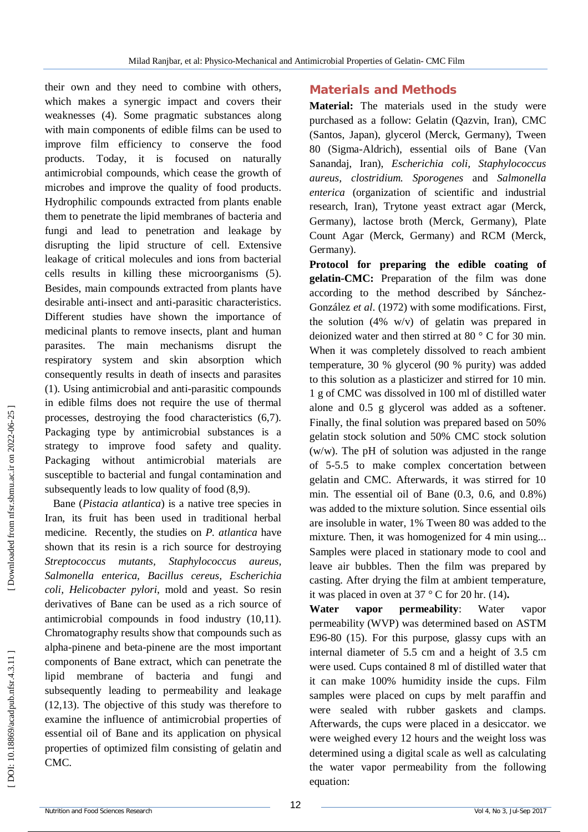their own and they need to combine with others, which makes a synergic impact and covers their weaknesses (4). Some pragmatic substances along with main components of edible films can be used to improve film efficiency to conserve the food products. Today, it is focused on naturally antimicrobial compounds, which cease the growth of microbes and improve the quality of food products. Hydrophilic compounds extracted from plants enable them to penetrate the lipid membranes of bacteria and fungi and lead to penetration and leakage by disrupting the lipid structure of cell. Extensive leakage of critical molecules and ions from bacterial cells results in killing these microorganisms (5). Besides, main compounds extracted from plants have desirable anti -insect and anti -parasitic characteristics. Different studies have shown the importance of medicinal plants to remove insects, plant and human parasites. The main mechanisms disrupt the respiratory system and skin absorption which consequently results in death of insects and parasites (1). Using antimicrobial and anti-parasitic compounds in edible films does not require the use of thermal processes, destroying the food characteristics (6,7). Packaging type by antimicrobial substances is a strategy to improve food safety and quality. Packaging without antimicrobial materials are susceptible to bacterial and fungal contamination and subsequently leads to low quality of food (8,9).

Bane (*Pistacia atlantica*) is a native tree species in Iran, its fruit has been used in traditional herbal medicine. Recently, the studies on *P. atlantica* have shown that its resin is a rich source for destroying *Streptococcus mutants, Staphylococcus aureus, Salmonella enterica, Bacillus cereus, Escherichia coli, Helicobacter pylori*, mold and yeast. So resin derivatives of Bane can be used as a rich source of antimicrobial compounds in food industry (10,11). Chromatography results show that compounds such as alpha -pinene and beta -pinene are the most important components of Bane extract, which can penetrate the lipid membrane of bacteria and fungi and subsequently leading to permeability and leakage (12,13). The objective of this study was therefore to examine the influence of antimicrobial properties of essential oil of Bane and its application on physical properties of optimized film consisting of gelatin and CMC.

## **Materials and Methods**

**Material:** The materials used in the study were purchased as a follow: Gelatin (Qazvin, Iran), CMC (Santos, Japan), glycerol (Merck, Germany), Tween 80 (Sigma -Aldrich), essential oils of Bane (Van Sanandaj, Iran), *Escherichia coli, Staphylococcus aureus, clostridium. Sporogenes* and *Salmonella enterica* (organization of scientific and industrial research, Iran), Trytone yeast extract agar (Merck, Germany), lactose broth (Merck, Germany), Plate Count Agar (Merck, Germany) and RCM (Merck, Germany).

**Protocol for preparing the edible coating of gelatin -CMC:** Preparation of the film was done according to the method described by Sánchez - González *et al*. (1972) with some modifications. First, the solution (4% w/v) of gelatin was prepared in deionized water and then stirred at 80 ° C for 30 min. When it was completely dissolved to reach ambient temperature, 30 % glycerol (90 % purity) was added to this solution as a plasticizer and stirred for 10 min. 1 g of CMC was dissolved in 100 ml of distilled water alone and 0.5 g glycerol was added as a softener. Finally, the final solution was prepared based on 50% gelatin stock solution and 50% CMC stock solution (w/w). The pH of solution was adjusted in the range of 5 -5.5 to make complex concertation between gelatin and CMC. Afterwards, it was stirred for 10 min. The essential oil of Bane (0.3, 0.6, and 0.8%) was added to the mixture solution. Since essential oils are insoluble in water, 1% Tween 80 was added to the mixture. Then, it was homogenized for 4 min using... Samples were placed in stationary mode to cool and leave air bubbles. Then the film was prepared by casting. After drying the film at ambient temperature, it was placed in oven at 37 ° C for 20 hr. (14) **.**

**Water vapor permeability**: Water vapor permeability (WVP) was determined based on ASTM E96 -80 (15). For this purpose, glassy cups with an internal diameter of 5.5 cm and a height of 3.5 cm were used. Cups contained 8 ml of distilled water that it can make 100% humidity inside the cups. Film samples were placed on cups by melt paraffin and were sealed with rubber gaskets and clamps. Afterwards, the cups were placed in a desiccator. we were weighed every 12 hours and the weight loss was determined using a digital scale as well as calculating the water vapor permeability from the following equation: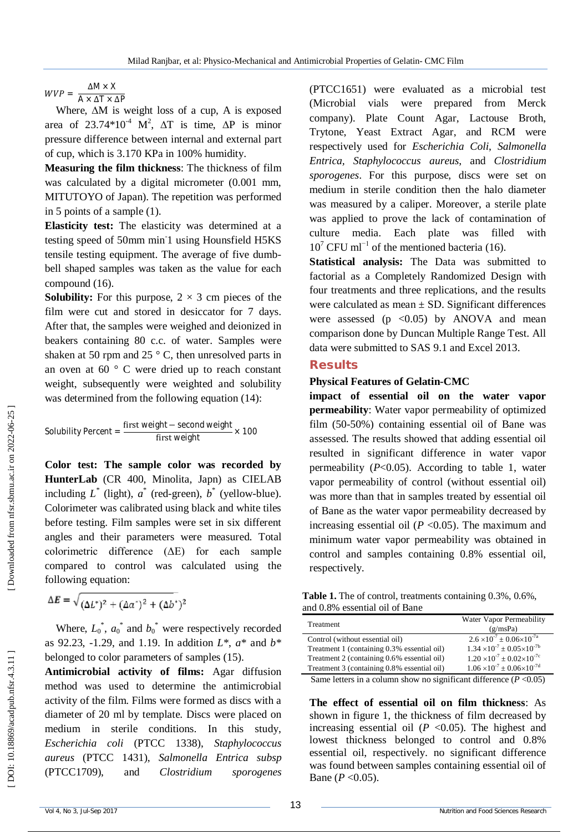$WVP = \frac{\Delta M \times X}{\Delta M \times \Delta T}$  $A \times \Delta T \times \Delta P$ 

Where, ∆M is weight loss of a cup, A is exposed area of 23.74\*10<sup>-4</sup> M<sup>2</sup>,  $\Delta T$  is time,  $\Delta P$  is minor pressure difference between internal and external part of cup, which is 3.170 KPa in 100% humidity.

**Measuring the film thickness**: The thickness of film was calculated by a digital micrometer (0.001 mm, MITUTOYO of Japan). The repetition was performed in 5 points of a sample (1).

**Elasticity test:** The elasticity was determined at a testing speed of 50mm min<sup>1</sup> using Hounsfield H5KS tensile testing equipment. The average of five dumb bell shaped samples was taken as the value for each compound (16).

**Solubility:** For this purpose,  $2 \times 3$  cm pieces of the film were cut and stored in desiccator for 7 days. After that, the samples were weighed and deionized in beakers containing 80 c.c. of water. Samples were shaken at 50 rpm and 25 $\degree$  C, then unresolved parts in an oven at  $60^\circ$  C were dried up to reach constant weight, subsequently were weighted and solubility was determined from the following equation (14):

Solubility Percent = 
$$
\frac{\text{first weight} - \text{second weight}}{\text{first weight}} \times 100
$$

**Color test: The sample color was recorded by HunterLab** (CR 400, Minolita, Japn) as CIELAB including  $L^*$  (light),  $a^*$  (red-green),  $b^*$  (yellow-blue). Colorimeter was calibrated using black and white tiles before testing. Film samples were set in six different angles and their parameters were measured. Total colorimetric difference (ΔE) for each sample compared to control was calculated using the following equation:

$$
\Delta E = \sqrt{(\Delta L^*)^2 + (\Delta a^*)^2 + (\Delta b^*)^2}
$$

Where,  $L_0^*$ ,  $a_0^*$  and  $b_0^*$  were respectively recorded as 92.23, -1.29, and 1.19. In addition *L*\*, *a*\* and *b*\* belonged to color parameters of samples (15).

**Antimicrobial activity of films :** Agar diffusion method was used to determine the antimicrobial activity of the film. Films were formed as discs with a diameter of 20 ml by template. Discs were placed on medium in sterile conditions. In this study, *Escherichia coli* (PTCC 1338), *Staphylococcus aureus* (PTCC 1431), *Salmonella Entrica subsp* (PTCC1709), and *Clostridium sporogenes*

(PTCC1651) were evaluated as a microbial test (Microbial vials were prepared from Merck company). Plate Count Agar, Lactouse Broth, Trytone, Yeast Extract Agar, and RCM were respectively used for *Escherichia Coli*, *Salmonella Entrica, Staphylococcus aureus*, and *Clostridium sporogenes*. For this purpose, discs were set on medium in sterile condition then the halo diameter was measured by a caliper. Moreover, a sterile plate was applied to prove the lack of contamination of culture media. Each plate was filled with  $10^7$  CFU ml<sup>-1</sup> of the mentioned bacteria (16).

**Statistical analysis:** The Data was submitted to factorial as a Completely Randomized Design with four treatments and three replications, and the results were calculated as mean  $\pm$  SD. Significant differences were assessed ( $p \leq 0.05$ ) by ANOVA and mean comparison done by Duncan Multiple Range Test. All data were submitted to SAS 9.1 and Excel 2013.

#### **Results**

#### **Physical Features of Gelatin -CMC**

**impact of essential oil on the water vapor permeability**: Water vapor permeability of optimized film (50 -50%) containing essential oil of Bane was assessed. The results showed that adding essential oil resulted in significant difference in water vapor permeability ( *P*<0.05). According to table 1, water vapor permeability of control (without essential oil) was more than that in samples treated by essential oil of Bane as the water vapor permeability decreased by increasing essential oil  $(P < 0.05)$ . The maximum and minimum water vapor permeability was obtained in control and samples containing 0.8% essential oil, respectively.

**Table 1.** The of control, treatments containing 0.3%, 0.6%, and 0.8% essential oil of Bane

| Treatment                                                                                                                                                                                                                                                    | Water Vapor Permeability<br>(g/msPa)           |
|--------------------------------------------------------------------------------------------------------------------------------------------------------------------------------------------------------------------------------------------------------------|------------------------------------------------|
| Control (without essential oil)                                                                                                                                                                                                                              | $2.6 \times 10^{-7} \pm 0.06 \times 10^{-7a}$  |
| Treatment 1 (containing 0.3% essential oil)                                                                                                                                                                                                                  | $1.34 \times 10^{-7} \pm 0.05 \times 10^{-7}$  |
| Treatment 2 (containing 0.6% essential oil)                                                                                                                                                                                                                  | $1.20 \times 10^{-7} \pm 0.02 \times 10^{-7c}$ |
| Treatment 3 (containing 0.8% essential oil)                                                                                                                                                                                                                  | $1.06 \times 10^{-7} \pm 0.06 \times 10^{-7d}$ |
| $\sim$ $\sim$ $\sim$ $\sim$<br>$-1$ . The set of the set of the set of the set of the set of the set of the set of the set of the set of the set of the set of the set of the set of the set of the set of the set of the set of the set of the set of the s | $\cdots$<br>$\sim$ $\sim$ $\sim$ $\sim$ $\sim$ |

Same letters in a column show no significant difference  $(P<0.05)$ 

**The effect of essential oil on film thickness**: As shown in figure 1, the thickness of film decreased by increasing essential oil  $(P \le 0.05)$ . The highest and lowest thickness belonged to control and 0.8% essential oil, respectively. no significant difference was found between samples containing essential oil of Bane ( $P < 0.05$ ).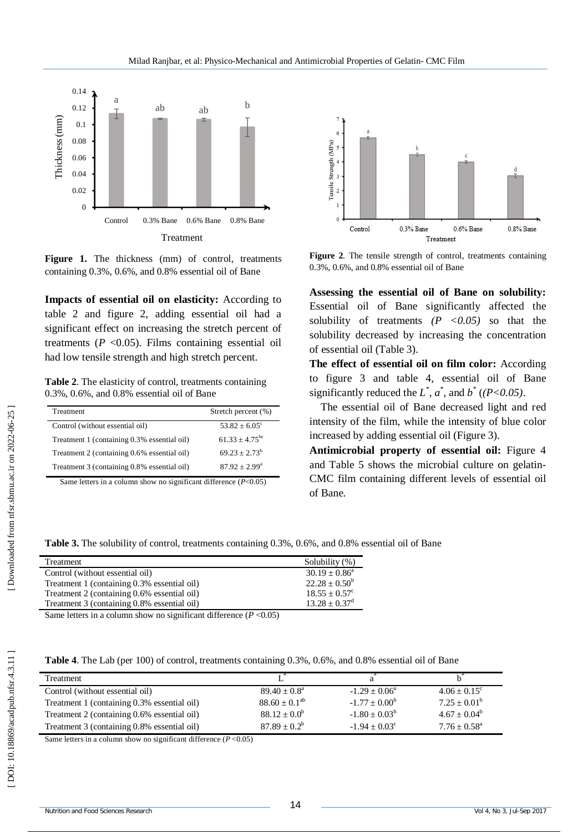

Figure 1. The thickness (mm) of control, treatments containing 0.3%, 0.6%, and 0.8% essential oil of Bane

**Impacts of essential oil on elasticity:** According to table 2 and figure 2, adding essential oil had a significant effect on increasing the stretch percent of treatments  $(P < 0.05)$ . Films containing essential oil had low tensile strength and high stretch percent.

**Table 2**. The elasticity of control, treatments containing 0.3%, 0.6%, and 0.8% essential oil of Bane

| Treatment                                   | Stretch percent (%)         |
|---------------------------------------------|-----------------------------|
| Control (without essential oil)             | $53.82 + 6.05^{\circ}$      |
| Treatment 1 (containing 0.3% essential oil) | $61.33 + 4.75^{bc}$         |
| Treatment 2 (containing 0.6% essential oil) | $69.23 \pm 2.73^b$          |
| Treatment 3 (containing 0.8% essential oil) | $87.92 \pm 2.99^{\text{a}}$ |

Same letters in a column show no significant difference ( *P*<0.05)



**Figure 2**. The tensile strength of control, treatments containing 0.3%, 0.6%, and 0.8% essential oil of Bane

**Assessing the essential oil of Bane on solubility:** Essential oil of Bane significantly affected the solubility of treatments  $(P \le 0.05)$  so that the solubility decreased by increasing the concentration of essential oil (Table 3).

**The effect of essential oil on film color:** According to figure 3 and table 4, essential oil of Bane significantly reduced the  $L^*$ ,  $a^*$ , and  $b^*$  ((P<0.05).

The essential oil of Bane decreased light and red intensity of the film, while the intensity of blue color increased by adding essential oil (Figure 3).

**Antimicrobial property of essential oil:** Figure 4 and Table 5 shows the microbial culture on gelatin - CMC film containing different levels of essential oil of Bane.

**Table 3.** The solubility of control, treatments containing 0.3%, 0.6%, and 0.8% essential oil of Bane

| Treatment                                   | Solubility (%)         |
|---------------------------------------------|------------------------|
| Control (without essential oil)             | $30.19 + 0.86^a$       |
| Treatment 1 (containing 0.3% essential oil) | $22.28 \pm 0.50^b$     |
| Treatment 2 (containing 0.6% essential oil) | $18.55 + 0.57^{\circ}$ |
| Treatment 3 (containing 0.8% essential oil) | $13.28 \pm 0.37^d$     |

Same letters in a column show no significant difference  $(P<0.05)$ 

|  | <b>Table 4.</b> The Lab (per 100) of control, treatments containing 0.3%, 0.6%, and 0.8% essential oil of Bane |
|--|----------------------------------------------------------------------------------------------------------------|
|--|----------------------------------------------------------------------------------------------------------------|

| Treatment                                   |                         |                        |                          |
|---------------------------------------------|-------------------------|------------------------|--------------------------|
| Control (without essential oil)             | $89.40 \pm 0.8^{\circ}$ | $-1.29 + 0.06^a$       | $4.06 + 0.15^{\circ}$    |
| Treatment 1 (containing 0.3% essential oil) | $88.60 + 0.1^{ab}$      | $-1.77 + 0.00^b$       | $7.25 \pm 0.01^{\rm b}$  |
| Treatment 2 (containing 0.6% essential oil) | $88.12 \pm 0.0^b$       | $-1.80 \pm 0.03^b$     | $4.67 + 0.04^b$          |
| Treatment 3 (containing 0.8% essential oil) | $87.89 + 0.2^b$         | $-1.94 + 0.03^{\circ}$ | $7.76 + 0.58^{\text{a}}$ |

Same letters in a column show no significant difference  $(P<0.05)$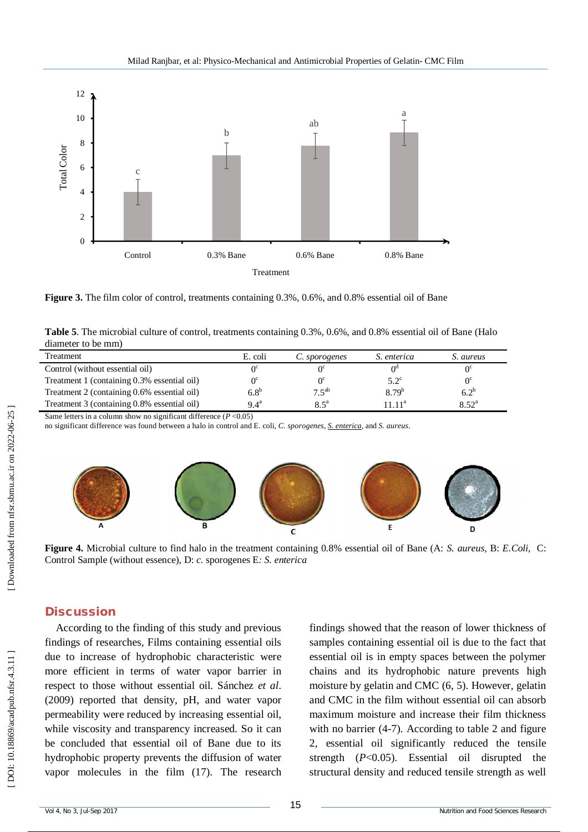

**Figure 3.** The film color of control, treatments containing 0.3%, 0.6%, and 0.8% essential oil of Bane

| Table 5. The microbial culture of control, treatments containing 0.3%, 0.6%, and 0.8% essential oil of Bane (Halo |  |  |  |
|-------------------------------------------------------------------------------------------------------------------|--|--|--|
| diameter to be mm)                                                                                                |  |  |  |

| Treatment                                   | E. coli            | C. sporogenes | S. enterica   | S. aureus      |
|---------------------------------------------|--------------------|---------------|---------------|----------------|
| Control (without essential oil)             |                    |               |               |                |
| Treatment 1 (containing 0.3% essential oil) | ∩°                 |               | $5.2^{\circ}$ | $0^{\circ}$    |
| Treatment 2 (containing 0.6% essential oil) | $6.8^b$            | $7.5^{ab}$    | $8.79^{b}$    | $6.2^{b}$      |
| Treatment 3 (containing 0.8% essential oil) | $9.4^{\mathrm{a}}$ | $8.5^{\circ}$ | $111^a$       | $8.52^{\rm a}$ |

Same letters in a column show no significant difference ( *P* <0.05)

no significant difference was found between a halo in control and E. coli, *C. sporogenes, S. enterica*, and *S. aureus*.



**Figure 4.** Microbial culture to find halo in the treatment containing 0.8% essential oil of Bane (A: *S. aureus*, B: *E.Coli*, C: Control Sample (without essence), D: *c.* sporogenes E*: S. enterica* 

#### **Discussion**

According to the finding of this study and previous findings of researches, Films containing essential oils due to increase of hydrophobic characteristic were more efficient in terms of water vapor barrier in respect to those without essential oil. Sánchez *et al*. (2009) reported that density, pH, and water vapor permeability were reduced by increasing essential oil, while viscosity and transparency increased. So it can be concluded that essential oil of Bane due to its hydrophobic property prevents the diffusion of water vapor molecules in the film (17). The research findings showed that the reason of lower thickness of samples containing essential oil is due to the fact that essential oil is in empty spaces between the polymer chains and its hydrophobic nature prevents high moisture by gelatin and CMC (6, 5). However, gelatin and CMC in the film without essential oil can absorb maximum moisture and increase their film thickness with no barrier (4-7). According to table 2 and figure 2, essential oil significantly reduced the tensile strength ( *P*<0.05). Essential oil disrupted the structural density and reduced tensile strength as well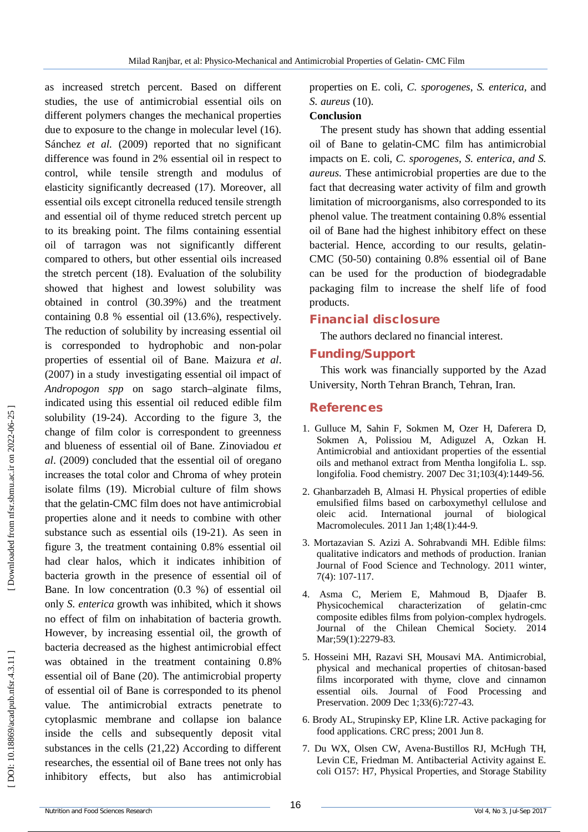as increased stretch percent. Based on different studies, the use of antimicrobial essential oils on different polymers changes the mechanical properties due to exposure to the change in molecular level (16). Sánchez *et al.* (2009) reported that no significant difference was found in 2% essential oil in respect to control, while tensile strength and modulus of elasticity significantly decreased (17). Moreover, all essential oils except citronella reduced tensile strength and essential oil of thyme reduced stretch percent up to its breaking point. The films containing essential oil of tarragon was not significantly different compared to others, but other essential oils increased the stretch percent (18). Evaluation of the solubility showed that highest and lowest solubility was obtained in control (30.39%) and the treatment containing 0.8 % essential oil (13.6%), respectively. The reduction of solubility by increasing essential oil is corresponded to hydrophobic and non -polar properties of essential oil of Bane. Maizura *et al*. (2007) in a study investigating essential oil impact of *Andropogon spp* on sago starch–alginate films, indicated using this essential oil reduced edible film solubility (19 -24). According to the figure 3, the change of film color is correspondent to greenness and blueness of essential oil of Bane. Zinoviadou *et al*. (2009) concluded that the essential oil of oregano increases the total color and Chroma of whey protein isolate films (19). Microbial culture of film shows that the gelatin -CMC film does not have antimicrobial properties alone and it needs to combine with other substance such as essential oils (19 -21). As seen in figure 3, the treatment containing 0.8% essential oil had clear halos, which it indicates inhibition of bacteria growth in the presence of essential oil of Bane. In low concentration (0.3 %) of essential oil only *S. enterica* growth was inhibited, which it shows no effect of film on inhabitation of bacteria growth. However, by increasing essential oil, the growth of bacteria decreased as the highest antimicrobial effect was obtained in the treatment containing 0.8% essential oil of Bane (20). The antimicrobial property of essential oil of Bane is corresponded to its phenol value. The antimicrobial extracts penetrate to cytoplasmic membrane and collapse ion balance inside the cells and subsequently deposit vital substances in the cells (21,22) According to different researches, the essential oil of Bane trees not only has inhibitory effects, but also has antimicrobial

properties on E. coli, C. sporogenes, S. enterica, and *S. aureus* (10).

### **Conclusion**

The present study has shown that adding essential oil of Bane to gelatin -CMC film has antimicrobial impacts on E. coli*, C. sporogenes, S. enterica, and S. aureus.* These antimicrobial properties are due to the fact that decreasing water activity of film and growth limitation of microorganisms, also corresponded to its phenol value. The treatment containing 0.8% essential oil of Bane had the highest inhibitory effect on these bacterial. Hence, according to our results, gelatin - CMC (50 -50) containing 0.8% essential oil of Bane can be used for the production of biodegradable packaging film to increase the shelf life of food products.

## **Financial disclosure**

The authors declared no financial interest.

# **Funding/Support**

This work was financially supported by the Azad University, North Tehran Branch, Tehran, Iran.

# **References**

- 1. Gulluce M, Sahin F, Sokmen M, Ozer H, Daferera D, Sokmen A, Polissiou M, Adiguzel A, Ozkan H. Antimicrobial and antioxidant properties of the essential oils and methanol extract from Mentha longifolia L. ssp. longifolia. Food chemistry. 2007 Dec 31;103(4):1449 -56.
- 2. Ghanbarzadeh B, Almasi H. Physical properties of edible emulsified films based on carboxymethyl cellulose and oleic acid. International journal of biological Macromolecules. 2011 Jan 1;48(1):44 -9.
- 3. Mortazavian S. Azizi A. Sohrabvandi MH. Edible films: qualitative indicators and methods of production. Iranian Journal of Food Science and Technology. 2011 winter, 7(4): 107 -117.
- 4. Asma C, Meriem E, Mahmoud B, Djaafer B. Physicochemical characterization gelatin-cmc composite edibles films from polyion -complex hydrogels. Journal of the Chilean Chemical Society. 2014 Mar;59(1):2279-83.
- 5. Hosseini MH, Razavi SH, Mousavi MA. Antimicrobial, physical and mechanical properties of chitosan ‐based films incorporated with thyme, clove and cinnamon essential oils. Journal of Food Processing and Preservation. 2009 Dec 1;33(6):727 -43.
- 6. Brody AL, Strupinsky EP, Kline LR. Active packaging for food applications. CRC press; 2001 Jun 8.
- 7. Du WX, Olsen CW, Avena ‐Bustillos RJ, McHugh TH, Levin CE, Friedman M. Antibacterial Activity against E. coli O157: H7, Physical Properties, and Storage Stability